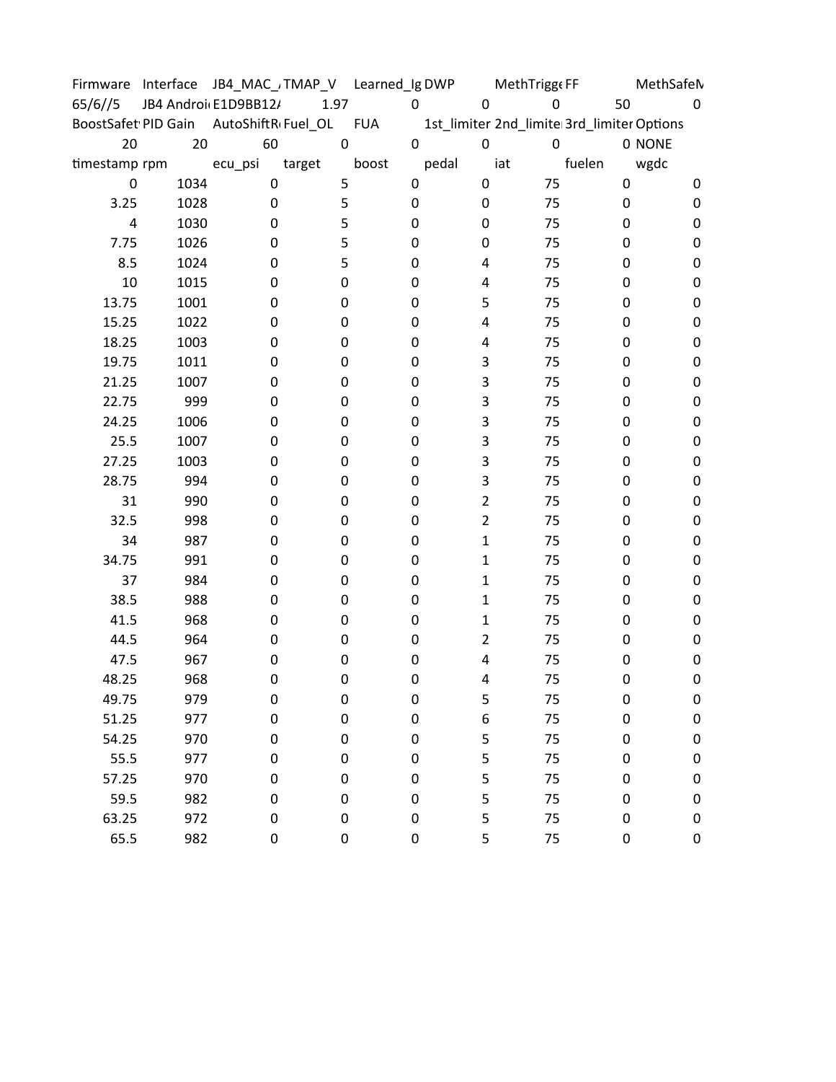|               |      |                                        |           | Firmware Interface JB4_MAC_/TMAP_V Learned_Ig DWP |                | MethTrigge FF |                                            | MethSafeN |
|---------------|------|----------------------------------------|-----------|---------------------------------------------------|----------------|---------------|--------------------------------------------|-----------|
| 65/6//5       |      | JB4 Androi E1D9BB12/                   | 1.97      | $\mathbf 0$                                       | 0              | $\mathbf 0$   | 50                                         | 0         |
|               |      | BoostSafet PID Gain AutoShiftR Fuel_OL |           | <b>FUA</b>                                        |                |               | 1st_limiter 2nd_limite 3rd_limiter Options |           |
| 20            | 20   | 60                                     | $\pmb{0}$ | $\pmb{0}$                                         | $\mathbf 0$    | $\mathbf 0$   |                                            | 0 NONE    |
| timestamp rpm |      | ecu_psi                                | target    | boost                                             | pedal          | iat           | fuelen                                     | wgdc      |
| 0             | 1034 | $\mathbf 0$                            | 5         | $\mathbf 0$                                       | 0              | 75            | 0                                          | 0         |
| 3.25          | 1028 | $\pmb{0}$                              | 5         | 0                                                 | 0              | 75            | 0                                          | 0         |
| 4             | 1030 | 0                                      | 5         | 0                                                 | 0              | 75            | 0                                          | 0         |
| 7.75          | 1026 | 0                                      | 5         | 0                                                 | 0              | 75            | 0                                          | 0         |
| 8.5           | 1024 | 0                                      | 5         | 0                                                 | 4              | 75            | 0                                          | 0         |
| 10            | 1015 | 0                                      | 0         | 0                                                 | 4              | 75            | 0                                          | 0         |
| 13.75         | 1001 | 0                                      | 0         | 0                                                 | 5              | 75            | 0                                          | 0         |
| 15.25         | 1022 | 0                                      | 0         | 0                                                 | 4              | 75            | 0                                          | 0         |
| 18.25         | 1003 | 0                                      | 0         | 0                                                 | 4              | 75            | 0                                          | 0         |
| 19.75         | 1011 | 0                                      | 0         | 0                                                 | 3              | 75            | 0                                          | 0         |
| 21.25         | 1007 | 0                                      | 0         | 0                                                 | 3              | 75            | 0                                          | 0         |
| 22.75         | 999  | 0                                      | 0         | 0                                                 | 3              | 75            | 0                                          | 0         |
| 24.25         | 1006 | 0                                      | 0         | 0                                                 | 3              | 75            | 0                                          | 0         |
| 25.5          | 1007 | 0                                      | 0         | 0                                                 | 3              | 75            | 0                                          | 0         |
| 27.25         | 1003 | 0                                      | 0         | 0                                                 | 3              | 75            | 0                                          | 0         |
| 28.75         | 994  | 0                                      | 0         | 0                                                 | 3              | 75            | 0                                          | 0         |
| 31            | 990  | 0                                      | 0         | 0                                                 | $\overline{2}$ | 75            | 0                                          | 0         |
| 32.5          | 998  | 0                                      | 0         | 0                                                 | $\overline{2}$ | 75            | 0                                          | 0         |
| 34            | 987  | 0                                      | 0         | 0                                                 | $\mathbf 1$    | 75            | 0                                          | 0         |
| 34.75         | 991  | 0                                      | 0         | 0                                                 | $\mathbf{1}$   | 75            | 0                                          | 0         |
| 37            | 984  | 0                                      | 0         | 0                                                 | $\mathbf{1}$   | 75            | 0                                          | 0         |
| 38.5          | 988  | 0                                      | 0         | 0                                                 | $\mathbf{1}$   | 75            | 0                                          | 0         |
| 41.5          | 968  | 0                                      | 0         | 0                                                 | 1              | 75            | 0                                          | 0         |
| 44.5          | 964  | 0                                      | 0         | 0                                                 | $\overline{2}$ | 75            | 0                                          | 0         |
| 47.5          | 967  | 0                                      | 0         | 0                                                 | 4              | 75            | 0                                          | 0         |
| 48.25         | 968  | 0                                      | 0         | 0                                                 | 4              | 75            | 0                                          | 0         |
| 49.75         | 979  | 0                                      | 0         | 0                                                 | 5              | 75            | 0                                          | 0         |
| 51.25         | 977  | $\pmb{0}$                              | 0         | 0                                                 | 6              | 75            | 0                                          | 0         |
| 54.25         | 970  | 0                                      | 0         | 0                                                 | 5              | 75            | 0                                          | 0         |
| 55.5          | 977  | 0                                      | 0         | 0                                                 | 5              | 75            | 0                                          | 0         |
| 57.25         | 970  | 0                                      | 0         | 0                                                 | 5              | 75            | 0                                          | 0         |
| 59.5          | 982  | 0                                      | 0         | 0                                                 | 5              | 75            | 0                                          | 0         |
| 63.25         | 972  | 0                                      | 0         | 0                                                 | 5              | 75            | 0                                          | 0         |
| 65.5          | 982  | 0                                      | 0         | 0                                                 | 5              | 75            | 0                                          | 0         |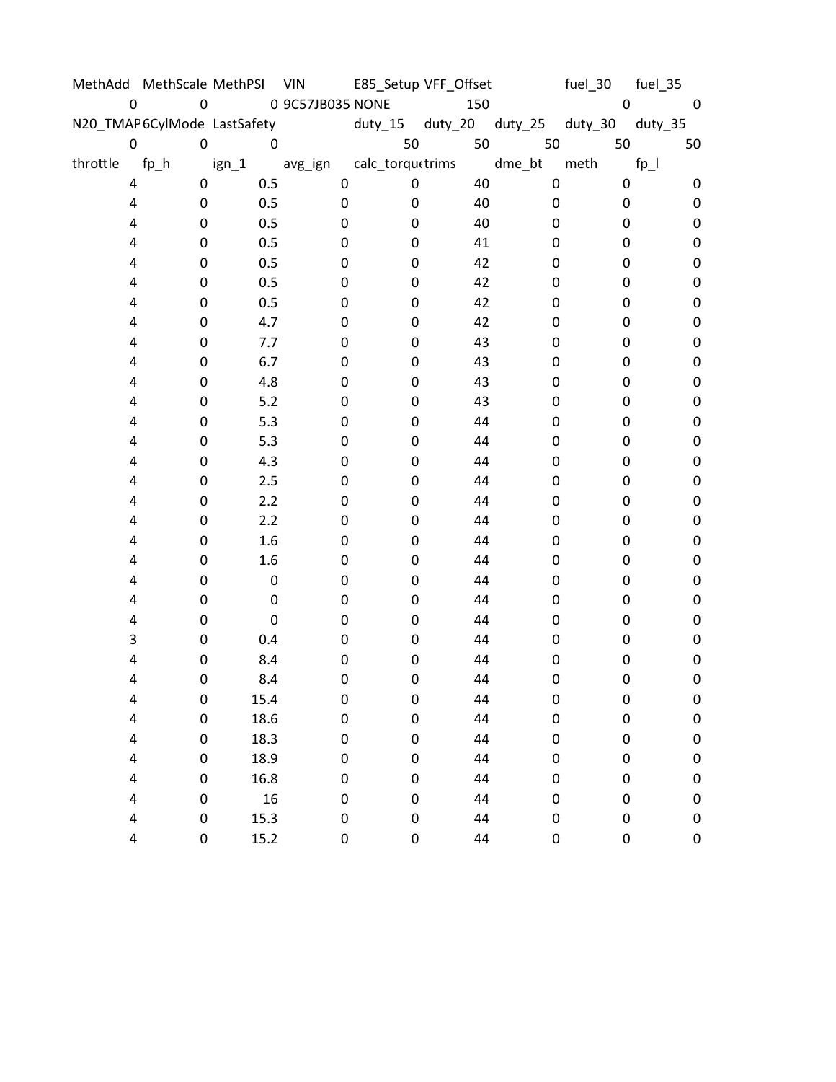|          | MethAdd MethScale MethPSI VIN |                  |                          |                  | E85_Setup VFF_Offset |                 | fuel_30 | fuel_35   |
|----------|-------------------------------|------------------|--------------------------|------------------|----------------------|-----------------|---------|-----------|
| 0        | $\boldsymbol{0}$              |                  | 0 9C57JB035 NONE         |                  | 150                  |                 | 0       | $\pmb{0}$ |
|          | N20_TMAP6CylMode LastSafety   |                  |                          | duty_15          |                      | duty_20 duty_25 | duty_30 | duty_35   |
| 0        | $\pmb{0}$                     | $\pmb{0}$        |                          | 50               | 50                   | 50              | 50      | 50        |
| throttle | $fp_h$                        | $ign_1$          | avg_ign calc_torquttrims |                  |                      | dme_bt          | meth    | $fp_l$    |
| 4        | 0                             | 0.5              | $\pmb{0}$                | $\mathbf 0$      | 40                   | $\pmb{0}$       | 0       | 0         |
| 4        | 0                             | 0.5              | 0                        | 0                | 40                   | $\pmb{0}$       | 0       | $\pmb{0}$ |
| 4        | 0                             | 0.5              | 0                        | 0                | 40                   | 0               | 0       | 0         |
| 4        | 0                             | 0.5              | 0                        | 0                | 41                   | 0               | 0       | 0         |
| 4        | 0                             | 0.5              | 0                        | 0                | 42                   | 0               | 0       | 0         |
| 4        | 0                             | 0.5              | 0                        | 0                | 42                   | 0               | 0       | 0         |
| 4        | 0                             | 0.5              | 0                        | 0                | 42                   | 0               | 0       | $\pmb{0}$ |
| 4        | 0                             | 4.7              | 0                        | 0                | 42                   | 0               | 0       | 0         |
| 4        | 0                             | 7.7              | 0                        | 0                | 43                   | 0               | 0       | 0         |
| 4        | 0                             | 6.7              | 0                        | 0                | 43                   | 0               | 0       | 0         |
| 4        | 0                             | 4.8              | 0                        | 0                | 43                   | 0               | 0       | 0         |
| 4        | 0                             | $5.2$            | 0                        | 0                | 43                   | 0               | 0       | $\pmb{0}$ |
| 4        | 0                             | 5.3              | 0                        | 0                | 44                   | 0               | 0       | 0         |
| 4        | 0                             | 5.3              | 0                        | 0                | 44                   | 0               | 0       | 0         |
| 4        | 0                             | 4.3              | 0                        | 0                | 44                   | 0               | 0       | 0         |
| 4        | 0                             | 2.5              | 0                        | 0                | 44                   | 0               | 0       | 0         |
| 4        | 0                             | 2.2              | 0                        | 0                | 44                   | 0               | 0       | 0         |
| 4        | 0                             | 2.2              | 0                        | 0                | 44                   | 0               | 0       | 0         |
| 4        | 0                             | 1.6              | 0                        | 0                | 44                   | 0               | 0       | 0         |
| 4        | 0                             | 1.6              | 0                        | 0                | 44                   | 0               | 0       | $\pmb{0}$ |
| 4        | 0                             | $\boldsymbol{0}$ | 0                        | 0                | 44                   | 0               | 0       | 0         |
| 4        | 0                             | 0                | 0                        | 0                | 44                   | 0               | 0       | 0         |
| 4        | 0                             | $\mathbf 0$      | 0                        | 0                | 44                   | 0               | 0       | 0         |
| 3        | 0                             | 0.4              | 0                        | 0                | 44                   | 0               | 0       | 0         |
| 4        | 0                             | 8.4              | 0                        | 0                | 44                   | 0               | 0       | 0         |
| 4        | 0                             | 8.4              | 0                        | 0                | 44                   | 0               | 0       | $\pmb{0}$ |
| 4        | 0                             | 15.4             | 0                        | $\boldsymbol{0}$ | 44                   | 0               | 0       | 0         |
| 4        | 0                             | 18.6             | $\pmb{0}$                | $\mathbf 0$      | 44                   | 0               | 0       | $\pmb{0}$ |
| 4        | 0                             | 18.3             | 0                        | 0                | 44                   | 0               | 0       | 0         |
| 4        | 0                             | 18.9             | 0                        | 0                | 44                   | 0               | 0       | $\pmb{0}$ |
| 4        | 0                             | 16.8             | 0                        | $\mathbf 0$      | 44                   | 0               | 0       | $\pmb{0}$ |
| 4        | 0                             | 16               | 0                        | 0                | 44                   | 0               | 0       | 0         |
| 4        | 0                             | 15.3             | 0                        | $\pmb{0}$        | 44                   | 0               | 0       | $\pmb{0}$ |
| 4        | 0                             | 15.2             | 0                        | $\pmb{0}$        | 44                   | 0               | 0       | 0         |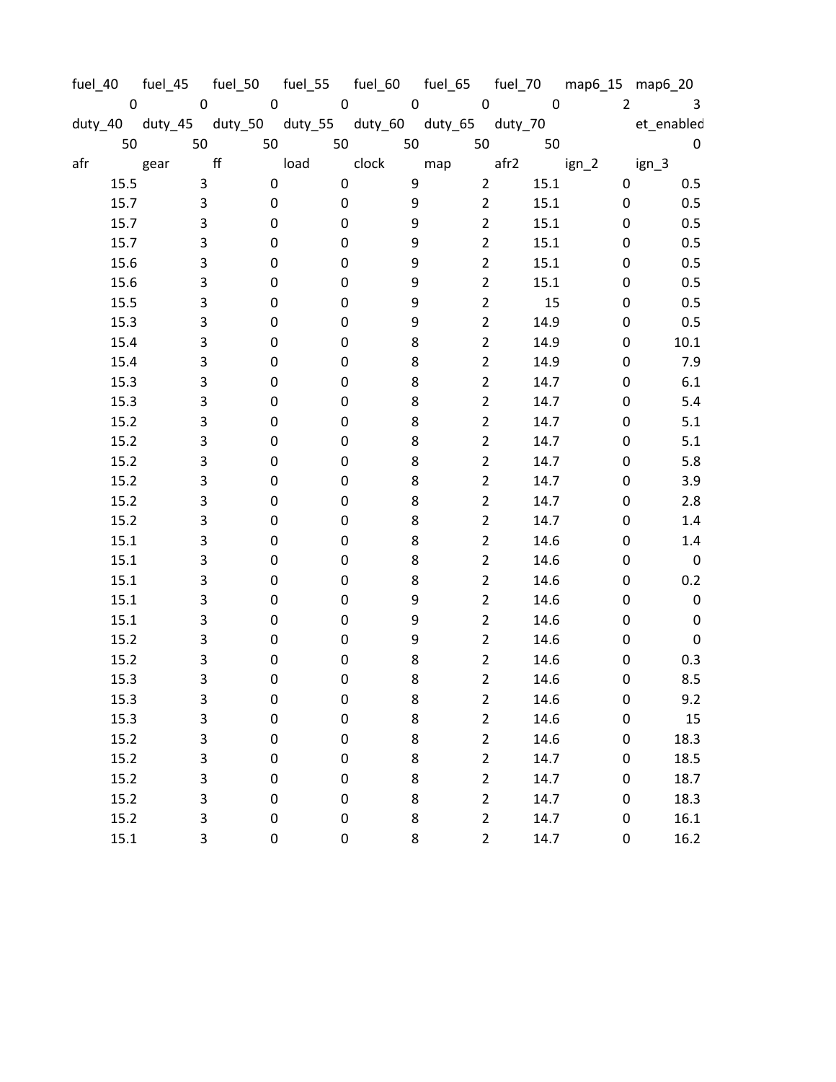| fuel_40     |                                         |                  | fuel_45  fuel_50  fuel_55  fuel_60  fuel_65  fuel_70  map6_15  map6_20 |             |                 |             |                |             |
|-------------|-----------------------------------------|------------------|------------------------------------------------------------------------|-------------|-----------------|-------------|----------------|-------------|
| $\mathbf 0$ | $\mathbf 0$                             | $\pmb{0}$        | $\pmb{0}$                                                              | $\mathbf 0$ | $\pmb{0}$       | $\mathsf 0$ | $\overline{2}$ | 3           |
|             | duty_40 duty_45 duty_50 duty_55 duty_60 |                  |                                                                        |             | duty_65 duty_70 |             |                | et_enabled  |
| 50          | 50                                      | 50               | 50                                                                     | 50          | 50              | 50          |                | $\mathbf 0$ |
| afr         | gear                                    | ff               | load                                                                   | clock       | map             | afr2        | $ign_2$        | $ign_3$     |
| 15.5        | 3                                       | $\boldsymbol{0}$ | 0                                                                      | 9           | $\overline{2}$  | 15.1        | 0              | 0.5         |
| 15.7        | 3                                       | $\pmb{0}$        | 0                                                                      | 9           | $\overline{2}$  | 15.1        | 0              | 0.5         |
| 15.7        | 3                                       | 0                | 0                                                                      | 9           | $\overline{2}$  | 15.1        | 0              | 0.5         |
| 15.7        | 3                                       | 0                | 0                                                                      | 9           | $\overline{2}$  | 15.1        | 0              | 0.5         |
| 15.6        | 3                                       | 0                | 0                                                                      | 9           | $\overline{2}$  | 15.1        | 0              | 0.5         |
| 15.6        | 3                                       | 0                | 0                                                                      | 9           | $\overline{2}$  | 15.1        | 0              | 0.5         |
| 15.5        | 3                                       | 0                | 0                                                                      | 9           | $\overline{2}$  | 15          | 0              | 0.5         |
| 15.3        | 3                                       | 0                | 0                                                                      | 9           | $\overline{2}$  | 14.9        | 0              | 0.5         |
| 15.4        | 3                                       | 0                | 0                                                                      | 8           | $\overline{2}$  | 14.9        | 0              | $10.1\,$    |
| 15.4        | 3                                       | 0                | 0                                                                      | 8           | $\overline{2}$  | 14.9        | 0              | 7.9         |
| 15.3        | 3                                       | 0                | 0                                                                      | 8           | $\overline{2}$  | 14.7        | 0              | 6.1         |
| 15.3        | 3                                       | 0                | 0                                                                      | 8           | $\overline{2}$  | 14.7        | 0              | 5.4         |
| 15.2        | 3                                       | 0                | 0                                                                      | 8           | $\overline{2}$  | 14.7        | 0              | 5.1         |
| 15.2        | 3                                       | 0                | 0                                                                      | 8           | $\overline{2}$  | 14.7        | 0              | 5.1         |
| 15.2        | 3                                       | 0                | 0                                                                      | 8           | $\overline{2}$  | 14.7        | 0              | 5.8         |
| 15.2        | 3                                       | 0                | 0                                                                      | 8           | $\overline{2}$  | 14.7        | 0              | 3.9         |
| 15.2        | 3                                       | 0                | $\pmb{0}$                                                              | 8           | $\overline{2}$  | 14.7        | 0              | 2.8         |
| 15.2        | 3                                       | 0                | 0                                                                      | 8           | $\overline{2}$  | 14.7        | 0              | 1.4         |
| 15.1        | 3                                       | 0                | $\pmb{0}$                                                              | 8           | $\overline{2}$  | 14.6        | 0              | 1.4         |
| 15.1        | 3                                       | 0                | 0                                                                      | 8           | $\overline{2}$  | 14.6        | 0              | $\pmb{0}$   |
| 15.1        | 3                                       | 0                | 0                                                                      | 8           | $\overline{2}$  | 14.6        | 0              | 0.2         |
| 15.1        | 3                                       | 0                | 0                                                                      | 9           | $\overline{2}$  | 14.6        | 0              | $\pmb{0}$   |
| 15.1        | 3                                       | 0                | 0                                                                      | 9           | $\overline{2}$  | 14.6        | 0              | $\pmb{0}$   |
| 15.2        | 3                                       | 0                | 0                                                                      | 9           | $\overline{2}$  | 14.6        | 0              | $\pmb{0}$   |
| 15.2        | 3                                       | 0                | 0                                                                      | 8           | $\overline{2}$  | 14.6        | 0              | 0.3         |
| 15.3        | 3                                       | 0                | 0                                                                      | 8           | $\overline{2}$  | 14.6        | 0              | 8.5         |
| 15.3        | 3                                       | 0                | 0                                                                      | 8           | $\overline{2}$  | 14.6        | 0              | 9.2         |
| 15.3        | 3                                       | $\pmb{0}$        | 0                                                                      | 8           | $\overline{2}$  | 14.6        | 0              | 15          |
| 15.2        | 3                                       | $\pmb{0}$        | $\pmb{0}$                                                              | 8           | $\overline{2}$  | 14.6        | 0              | 18.3        |
| 15.2        | 3                                       | $\pmb{0}$        | 0                                                                      | $\bf 8$     | $\overline{2}$  | 14.7        | 0              | 18.5        |
| 15.2        | 3                                       | $\pmb{0}$        | 0                                                                      | 8           | $\overline{2}$  | 14.7        | 0              | 18.7        |
| 15.2        | 3                                       | $\pmb{0}$        | 0                                                                      | 8           | $\overline{2}$  | 14.7        | 0              | 18.3        |
| 15.2        | 3                                       | $\pmb{0}$        | 0                                                                      | 8           | $\overline{2}$  | 14.7        | 0              | 16.1        |
| 15.1        | 3                                       | 0                | 0                                                                      | 8           | $\overline{2}$  | 14.7        | 0              | 16.2        |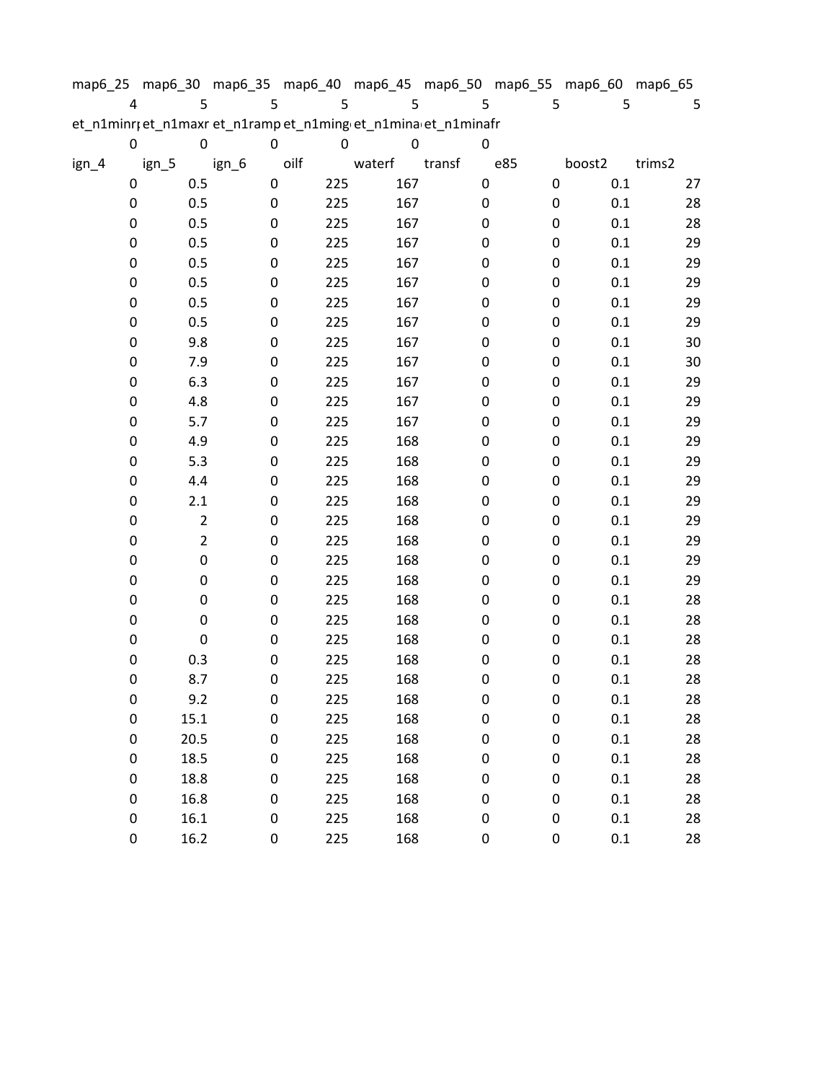| map6_25                                                        |             |       |                |       |             |      |     |        |   |        |   |     |           | map6_30 map6_35 map6_40 map6_45 map6_50 map6_55 map6_60 map6_65 |        |
|----------------------------------------------------------------|-------------|-------|----------------|-------|-------------|------|-----|--------|---|--------|---|-----|-----------|-----------------------------------------------------------------|--------|
|                                                                | 4           |       | 5              |       | 5           |      | 5   |        | 5 |        | 5 |     | 5         | 5                                                               | 5      |
| et_n1minr; et_n1maxr et_n1ramp et_n1ming et_n1mina et_n1minafr |             |       |                |       |             |      |     |        |   |        |   |     |           |                                                                 |        |
|                                                                | 0           |       | 0              |       | $\mathbf 0$ |      | 0   |        | 0 |        | 0 |     |           |                                                                 |        |
| ign_4                                                          |             | ign_5 |                | ign_6 |             | oilf |     | waterf |   | transf |   | e85 |           | boost2                                                          | trims2 |
|                                                                | 0           |       | 0.5            |       | 0           |      | 225 | 167    |   |        | 0 |     | $\pmb{0}$ | 0.1                                                             | 27     |
|                                                                | 0           |       | 0.5            |       | $\pmb{0}$   |      | 225 | 167    |   |        | 0 |     | 0         | 0.1                                                             | 28     |
|                                                                | 0           |       | 0.5            |       | 0           |      | 225 | 167    |   |        | 0 |     | 0         | 0.1                                                             | 28     |
|                                                                | 0           |       | 0.5            |       | $\mathbf 0$ |      | 225 | 167    |   |        | 0 |     | 0         | 0.1                                                             | 29     |
|                                                                | 0           |       | 0.5            |       | 0           |      | 225 | 167    |   |        | 0 |     | 0         | 0.1                                                             | 29     |
|                                                                | 0           |       | 0.5            |       | 0           |      | 225 | 167    |   |        | 0 |     | 0         | 0.1                                                             | 29     |
|                                                                | 0           |       | 0.5            |       | 0           |      | 225 | 167    |   |        | 0 |     | 0         | 0.1                                                             | 29     |
|                                                                | 0           |       | 0.5            |       | 0           |      | 225 | 167    |   |        | 0 |     | 0         | 0.1                                                             | 29     |
|                                                                | 0           |       | 9.8            |       | $\mathbf 0$ |      | 225 | 167    |   |        | 0 |     | 0         | 0.1                                                             | 30     |
|                                                                | 0           |       | 7.9            |       | 0           |      | 225 | 167    |   |        | 0 |     | 0         | 0.1                                                             | 30     |
|                                                                | 0           |       | 6.3            |       | 0           |      | 225 | 167    |   |        | 0 |     | 0         | 0.1                                                             | 29     |
|                                                                | 0           |       | 4.8            |       | 0           |      | 225 | 167    |   |        | 0 |     | 0         | 0.1                                                             | 29     |
|                                                                | 0           |       | 5.7            |       | 0           |      | 225 | 167    |   |        | 0 |     | 0         | 0.1                                                             | 29     |
|                                                                | 0           |       | 4.9            |       | 0           |      | 225 | 168    |   |        | 0 |     | 0         | 0.1                                                             | 29     |
|                                                                | 0           |       | 5.3            |       | 0           |      | 225 | 168    |   |        | 0 |     | 0         | 0.1                                                             | 29     |
|                                                                | 0           |       | 4.4            |       | 0           |      | 225 | 168    |   |        | 0 |     | 0         | 0.1                                                             | 29     |
|                                                                | 0           |       | $2.1\,$        |       | 0           |      | 225 | 168    |   |        | 0 |     | 0         | 0.1                                                             | 29     |
|                                                                | 0           |       | $\overline{2}$ |       | 0           |      | 225 | 168    |   |        | 0 |     | 0         | 0.1                                                             | 29     |
|                                                                | 0           |       | $\overline{2}$ |       | 0           |      | 225 | 168    |   |        | 0 |     | 0         | 0.1                                                             | 29     |
|                                                                | 0           |       | 0              |       | 0           |      | 225 | 168    |   |        | 0 |     | 0         | 0.1                                                             | 29     |
|                                                                | 0           |       | 0              |       | 0           |      | 225 | 168    |   |        | 0 |     | 0         | 0.1                                                             | 29     |
|                                                                | 0           |       | 0              |       | 0           |      | 225 | 168    |   |        | 0 |     | 0         | 0.1                                                             | 28     |
|                                                                | 0           |       | 0              |       | 0           |      | 225 | 168    |   |        | 0 |     | 0         | $0.1\,$                                                         | 28     |
|                                                                | 0           |       | 0              |       | 0           |      | 225 | 168    |   |        | 0 |     | 0         | 0.1                                                             | 28     |
|                                                                | 0           |       | 0.3            |       | 0           |      | 225 | 168    |   |        | 0 |     | 0         | 0.1                                                             | 28     |
|                                                                | $\mathbf 0$ |       | 8.7            |       | 0           |      | 225 | 168    |   |        | 0 |     | 0         | 0.1                                                             | 28     |
|                                                                | 0           |       | 9.2            |       | $\pmb{0}$   |      | 225 | 168    |   |        | 0 |     | 0         | 0.1                                                             | 28     |
|                                                                | 0           |       | 15.1           |       | $\mathbf 0$ |      | 225 | 168    |   |        | 0 |     | 0         | 0.1                                                             | 28     |
|                                                                | 0           |       | 20.5           |       | 0           |      | 225 | 168    |   |        | 0 |     | 0         | 0.1                                                             | 28     |
|                                                                | 0           |       | 18.5           |       | $\pmb{0}$   |      | 225 | 168    |   |        | 0 |     | 0         | 0.1                                                             | 28     |
|                                                                | 0           |       | 18.8           |       | 0           |      | 225 | 168    |   |        | 0 |     | 0         | 0.1                                                             | 28     |
|                                                                | 0           |       | 16.8           |       | 0           |      | 225 | 168    |   |        | 0 |     | 0         | $0.1\,$                                                         | 28     |
|                                                                | 0           |       | 16.1           |       | $\pmb{0}$   |      | 225 | 168    |   |        | 0 |     | 0         | 0.1                                                             | 28     |
|                                                                | 0           |       | 16.2           |       | 0           |      | 225 | 168    |   |        | 0 |     | 0         | 0.1                                                             | 28     |